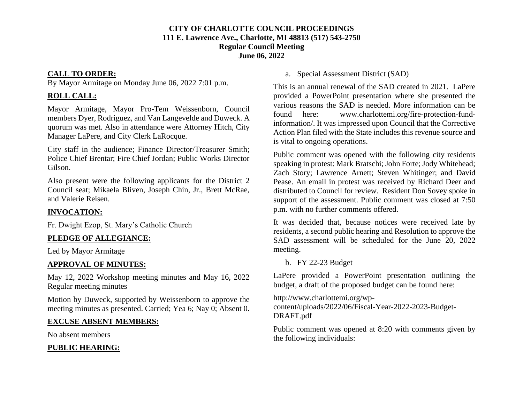### **CITY OF CHARLOTTE COUNCIL PROCEEDINGS 111 E. Lawrence Ave., Charlotte, MI 48813 (517) 543-2750 Regular Council Meeting June 06, 2022**

### **CALL TO ORDER:**

By Mayor Armitage on Monday June 06, 2022 7:01 p.m.

## **ROLL CALL:**

Mayor Armitage, Mayor Pro-Tem Weissenborn, Council members Dyer, Rodriguez, and Van Langevelde and Duweck. A quorum was met. Also in attendance were Attorney Hitch, City Manager LaPere, and City Clerk LaRocque.

City staff in the audience; Finance Director/Treasurer Smith; Police Chief Brentar; Fire Chief Jordan; Public Works Director Gilson.

Also present were the following applicants for the District 2 Council seat; Mikaela Bliven, Joseph Chin, Jr., Brett McRae, and Valerie Reisen.

# **INVOCATION:**

Fr. Dwight Ezop, St. Mary's Catholic Church

# **PLEDGE OF ALLEGIANCE:**

Led by Mayor Armitage

# **APPROVAL OF MINUTES:**

May 12, 2022 Workshop meeting minutes and May 16, 2022 Regular meeting minutes

Motion by Duweck, supported by Weissenborn to approve the meeting minutes as presented. Carried; Yea 6; Nay 0; Absent 0.

# **EXCUSE ABSENT MEMBERS:**

No absent members

# **PUBLIC HEARING:**

a. Special Assessment District (SAD)

This is an annual renewal of the SAD created in 2021. LaPere provided a PowerPoint presentation where she presented the various reasons the SAD is needed. More information can be found here: www.charlottemi.org/fire-protection-fundinformation/. It was impressed upon Council that the Corrective Action Plan filed with the State includes this revenue source and is vital to ongoing operations.

Public comment was opened with the following city residents speaking in protest: Mark Bratschi; John Forte; Jody Whitehead; Zach Story; Lawrence Arnett; Steven Whitinger; and David Pease. An email in protest was received by Richard Deer and distributed to Council for review. Resident Don Sovey spoke in support of the assessment. Public comment was closed at 7:50 p.m. with no further comments offered.

It was decided that, because notices were received late by residents, a second public hearing and Resolution to approve the SAD assessment will be scheduled for the June 20, 2022 meeting.

b. FY 22-23 Budget

LaPere provided a PowerPoint presentation outlining the budget, a draft of the proposed budget can be found here:

http://www.charlottemi.org/wpcontent/uploads/2022/06/Fiscal-Year-2022-2023-Budget-DRAFT.pdf

Public comment was opened at 8:20 with comments given by the following individuals: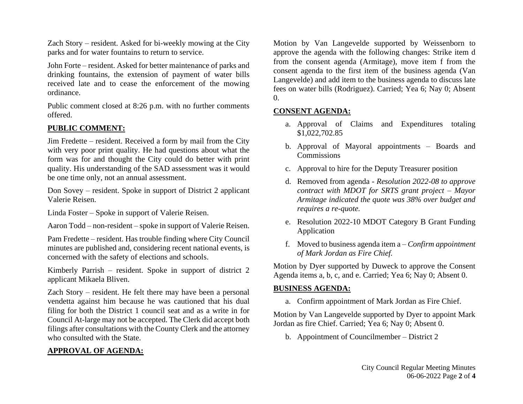Zach Story – resident. Asked for bi-weekly mowing at the City parks and for water fountains to return to service.

John Forte – resident. Asked for better maintenance of parks and drinking fountains, the extension of payment of water bills received late and to cease the enforcement of the mowing ordinance.

Public comment closed at 8:26 p.m. with no further comments offered.

### **PUBLIC COMMENT:**

Jim Fredette – resident. Received a form by mail from the City with very poor print quality. He had questions about what the form was for and thought the City could do better with print quality. His understanding of the SAD assessment was it would be one time only, not an annual assessment.

Don Sovey – resident. Spoke in support of District 2 applicant Valerie Reisen.

Linda Foster – Spoke in support of Valerie Reisen.

Aaron Todd – non-resident – spoke in support of Valerie Reisen.

Pam Fredette – resident. Has trouble finding where City Council minutes are published and, considering recent national events, is concerned with the safety of elections and schools.

Kimberly Parrish – resident. Spoke in support of district 2 applicant Mikaela Bliven.

Zach Story – resident. He felt there may have been a personal vendetta against him because he was cautioned that his dual filing for both the District 1 council seat and as a write in for Council At-large may not be accepted. The Clerk did accept both filings after consultations with the County Clerk and the attorney who consulted with the State.

### **APPROVAL OF AGENDA:**

Motion by Van Langevelde supported by Weissenborn to approve the agenda with the following changes: Strike item d from the consent agenda (Armitage), move item f from the consent agenda to the first item of the business agenda (Van Langevelde) and add item to the business agenda to discuss late fees on water bills (Rodriguez). Carried; Yea 6; Nay 0; Absent  $\Omega$ .

### **CONSENT AGENDA:**

- a. Approval of Claims and Expenditures totaling \$1,022,702.85
- b. Approval of Mayoral appointments Boards and Commissions
- c. Approval to hire for the Deputy Treasurer position
- d. Removed from agenda *Resolution 2022-08 to approve contract with MDOT for SRTS grant project – Mayor Armitage indicated the quote was 38% over budget and requires a re-quote.*
- e. Resolution 2022-10 MDOT Category B Grant Funding Application
- f. Moved to business agenda item a *Confirm appointment of Mark Jordan as Fire Chief.*

Motion by Dyer supported by Duweck to approve the Consent Agenda items a, b, c, and e. Carried; Yea 6; Nay 0; Absent 0.

### **BUSINESS AGENDA:**

a. Confirm appointment of Mark Jordan as Fire Chief.

Motion by Van Langevelde supported by Dyer to appoint Mark Jordan as fire Chief. Carried; Yea 6; Nay 0; Absent 0.

b. Appointment of Councilmember – District 2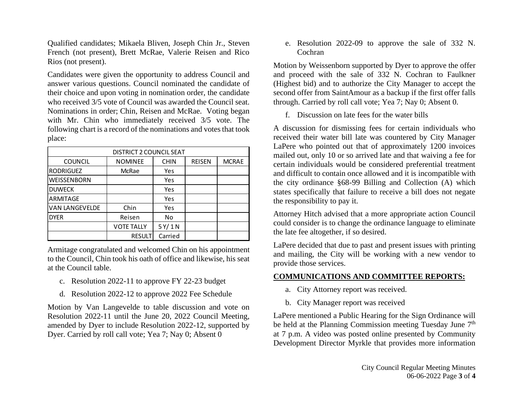Qualified candidates; Mikaela Bliven, Joseph Chin Jr., Steven French (not present), Brett McRae, Valerie Reisen and Rico Rios (not present).

Candidates were given the opportunity to address Council and answer various questions. Council nominated the candidate of their choice and upon voting in nomination order, the candidate who received 3/5 vote of Council was awarded the Council seat. Nominations in order; Chin, Reisen and McRae. Voting began with Mr. Chin who immediately received 3/5 vote. The following chart is a record of the nominations and votes that took place:

| DISTRICT 2 COUNCIL SEAT |                   |             |               |              |
|-------------------------|-------------------|-------------|---------------|--------------|
| <b>COUNCIL</b>          | <b>NOMINEE</b>    | <b>CHIN</b> | <b>REISEN</b> | <b>MCRAE</b> |
| <b>RODRIGUEZ</b>        | McRae             | Yes         |               |              |
| WEISSENBORN             |                   | Yes         |               |              |
| <b>DUWECK</b>           |                   | Yes         |               |              |
| ARMITAGE                |                   | Yes         |               |              |
| <b>VAN LANGEVELDE</b>   | Chin              | Yes         |               |              |
| <b>DYER</b>             | Reisen            | No          |               |              |
|                         | <b>VOTE TALLY</b> | 5Y/1N       |               |              |
|                         | <b>RESULT</b>     | Carried     |               |              |

Armitage congratulated and welcomed Chin on his appointment to the Council, Chin took his oath of office and likewise, his seat at the Council table.

- c. Resolution 2022-11 to approve FY 22-23 budget
- d. Resolution 2022-12 to approve 2022 Fee Schedule

Motion by Van Langevelde to table discussion and vote on Resolution 2022-11 until the June 20, 2022 Council Meeting, amended by Dyer to include Resolution 2022-12, supported by Dyer. Carried by roll call vote; Yea 7; Nay 0; Absent 0

e. Resolution 2022-09 to approve the sale of 332 N. Cochran

Motion by Weissenborn supported by Dyer to approve the offer and proceed with the sale of 332 N. Cochran to Faulkner (Highest bid) and to authorize the City Manager to accept the second offer from SaintAmour as a backup if the first offer falls through. Carried by roll call vote; Yea 7; Nay 0; Absent 0.

f. Discussion on late fees for the water bills

A discussion for dismissing fees for certain individuals who received their water bill late was countered by City Manager LaPere who pointed out that of approximately 1200 invoices mailed out, only 10 or so arrived late and that waiving a fee for certain individuals would be considered preferential treatment and difficult to contain once allowed and it is incompatible with the city ordinance §68-99 Billing and Collection (A) which states specifically that failure to receive a bill does not negate the responsibility to pay it.

Attorney Hitch advised that a more appropriate action Council could consider is to change the ordinance language to eliminate the late fee altogether, if so desired.

LaPere decided that due to past and present issues with printing and mailing, the City will be working with a new vendor to provide those services.

#### **COMMUNICATIONS AND COMMITTEE REPORTS:**

- a. City Attorney report was received.
- b. City Manager report was received

LaPere mentioned a Public Hearing for the Sign Ordinance will be held at the Planning Commission meeting Tuesday June  $7<sup>th</sup>$ at 7 p.m. A video was posted online presented by Community Development Director Myrkle that provides more information